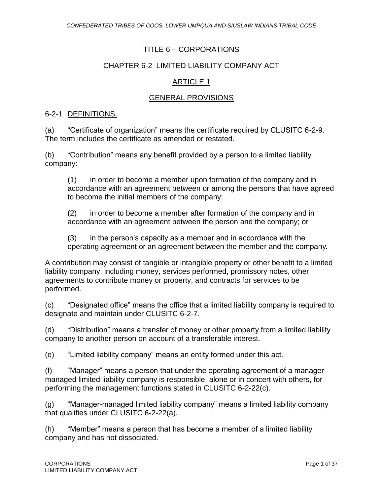# TITLE 6 – CORPORATIONS

# CHAPTER 6-2 LIMITED LIABILITY COMPANY ACT

# ARTICLE 1

# GENERAL PROVISIONS

### 6-2-1 DEFINITIONS.

(a) "Certificate of organization" means the certificate required by CLUSITC 6-2-9. The term includes the certificate as amended or restated.

(b) "Contribution" means any benefit provided by a person to a limited liability company:

(1) in order to become a member upon formation of the company and in accordance with an agreement between or among the persons that have agreed to become the initial members of the company;

(2) in order to become a member after formation of the company and in accordance with an agreement between the person and the company; or

(3) in the person's capacity as a member and in accordance with the operating agreement or an agreement between the member and the company.

A contribution may consist of tangible or intangible property or other benefit to a limited liability company, including money, services performed, promissory notes, other agreements to contribute money or property, and contracts for services to be performed.

(c) "Designated office" means the office that a limited liability company is required to designate and maintain under CLUSITC 6-2-7.

(d) "Distribution" means a transfer of money or other property from a limited liability company to another person on account of a transferable interest.

(e) "Limited liability company" means an entity formed under this act.

(f) "Manager" means a person that under the operating agreement of a managermanaged limited liability company is responsible, alone or in concert with others, for performing the management functions stated in CLUSITC 6-2-22(c).

(g) "Manager-managed limited liability company" means a limited liability company that qualifies under CLUSITC 6-2-22(a).

(h) "Member" means a person that has become a member of a limited liability company and has not dissociated.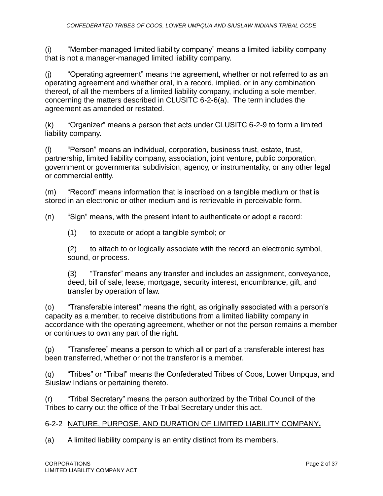(i) "Member-managed limited liability company" means a limited liability company that is not a manager-managed limited liability company.

(j) "Operating agreement" means the agreement, whether or not referred to as an operating agreement and whether oral, in a record, implied, or in any combination thereof, of all the members of a limited liability company, including a sole member, concerning the matters described in CLUSITC 6-2-6(a). The term includes the agreement as amended or restated.

(k) "Organizer" means a person that acts under CLUSITC 6-2-9 to form a limited liability company.

(l) "Person" means an individual, corporation, business trust, estate, trust, partnership, limited liability company, association, joint venture, public corporation, government or governmental subdivision, agency, or instrumentality, or any other legal or commercial entity.

(m) "Record" means information that is inscribed on a tangible medium or that is stored in an electronic or other medium and is retrievable in perceivable form.

(n) "Sign" means, with the present intent to authenticate or adopt a record:

(1) to execute or adopt a tangible symbol; or

(2) to attach to or logically associate with the record an electronic symbol, sound, or process.

(3) "Transfer" means any transfer and includes an assignment, conveyance, deed, bill of sale, lease, mortgage, security interest, encumbrance, gift, and transfer by operation of law.

(o) "Transferable interest" means the right, as originally associated with a person's capacity as a member, to receive distributions from a limited liability company in accordance with the operating agreement, whether or not the person remains a member or continues to own any part of the right.

(p) "Transferee" means a person to which all or part of a transferable interest has been transferred, whether or not the transferor is a member.

(q) "Tribes" or "Tribal" means the Confederated Tribes of Coos, Lower Umpqua, and Siuslaw Indians or pertaining thereto.

(r) "Tribal Secretary" means the person authorized by the Tribal Council of the Tribes to carry out the office of the Tribal Secretary under this act.

# 6-2-2 NATURE, PURPOSE, AND DURATION OF LIMITED LIABILITY COMPANY**.**

(a) A limited liability company is an entity distinct from its members.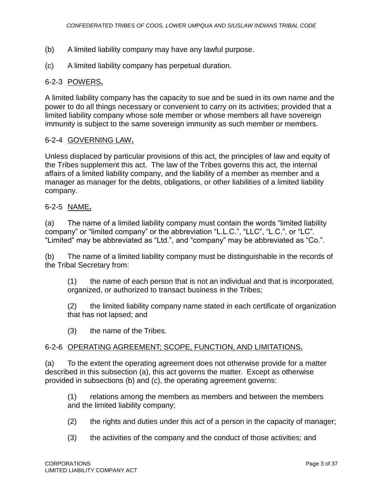- (b) A limited liability company may have any lawful purpose.
- (c) A limited liability company has perpetual duration.

### 6-2-3 POWERS**.**

A limited liability company has the capacity to sue and be sued in its own name and the power to do all things necessary or convenient to carry on its activities; provided that a limited liability company whose sole member or whose members all have sovereign immunity is subject to the same sovereign immunity as such member or members.

### 6-2-4 GOVERNING LAW**.**

Unless displaced by particular provisions of this act, the principles of law and equity of the Tribes supplement this act. The law of the Tribes governs this act, the internal affairs of a limited liability company, and the liability of a member as member and a manager as manager for the debts, obligations, or other liabilities of a limited liability company.

#### 6-2-5 NAME**.**

(a) The name of a limited liability company must contain the words "limited liability company" or "limited company" or the abbreviation "L.L.C.", "LLC", "L.C.", or "LC". "Limited" may be abbreviated as "Ltd.", and "company" may be abbreviated as "Co.".

(b) The name of a limited liability company must be distinguishable in the records of the Tribal Secretary from:

(1) the name of each person that is not an individual and that is incorporated, organized, or authorized to transact business in the Tribes;

(2) the limited liability company name stated in each certificate of organization that has not lapsed; and

(3) the name of the Tribes.

### 6-2-6 OPERATING AGREEMENT; SCOPE, FUNCTION, AND LIMITATIONS**.**

(a) To the extent the operating agreement does not otherwise provide for a matter described in this subsection (a), this act governs the matter. Except as otherwise provided in subsections (b) and (c), the operating agreement governs:

(1) relations among the members as members and between the members and the limited liability company;

- (2) the rights and duties under this act of a person in the capacity of manager;
- (3) the activities of the company and the conduct of those activities; and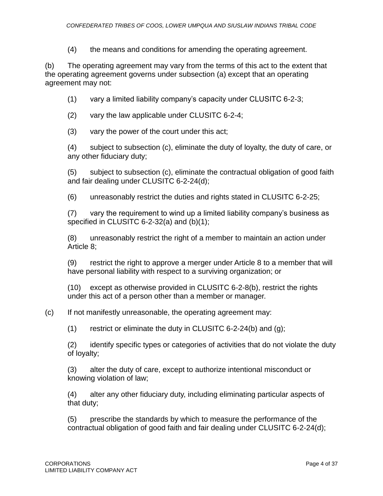(4) the means and conditions for amending the operating agreement.

(b) The operating agreement may vary from the terms of this act to the extent that the operating agreement governs under subsection (a) except that an operating agreement may not:

(1) vary a limited liability company's capacity under CLUSITC 6-2-3;

(2) vary the law applicable under CLUSITC 6-2-4;

(3) vary the power of the court under this act;

(4) subject to subsection (c), eliminate the duty of loyalty, the duty of care, or any other fiduciary duty;

(5) subject to subsection (c), eliminate the contractual obligation of good faith and fair dealing under CLUSITC 6-2-24(d);

(6) unreasonably restrict the duties and rights stated in CLUSITC 6-2-25;

(7) vary the requirement to wind up a limited liability company's business as specified in CLUSITC 6-2-32(a) and (b)(1);

(8) unreasonably restrict the right of a member to maintain an action under Article 8;

(9) restrict the right to approve a merger under Article 8 to a member that will have personal liability with respect to a surviving organization; or

(10) except as otherwise provided in CLUSITC 6-2-8(b), restrict the rights under this act of a person other than a member or manager.

# (c) If not manifestly unreasonable, the operating agreement may:

(1) restrict or eliminate the duty in CLUSITC 6-2-24(b) and (g);

(2) identify specific types or categories of activities that do not violate the duty of loyalty;

(3) alter the duty of care, except to authorize intentional misconduct or knowing violation of law;

(4) alter any other fiduciary duty, including eliminating particular aspects of that duty;

(5) prescribe the standards by which to measure the performance of the contractual obligation of good faith and fair dealing under CLUSITC 6-2-24(d);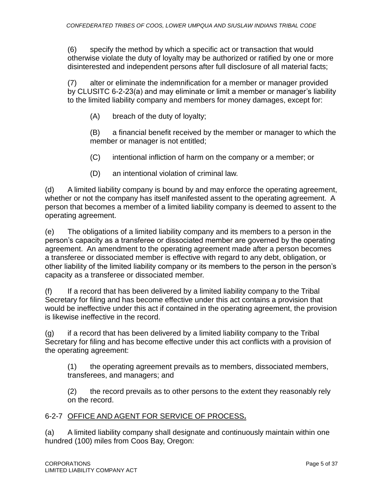(6) specify the method by which a specific act or transaction that would otherwise violate the duty of loyalty may be authorized or ratified by one or more disinterested and independent persons after full disclosure of all material facts;

(7) alter or eliminate the indemnification for a member or manager provided by CLUSITC 6-2-23(a) and may eliminate or limit a member or manager's liability to the limited liability company and members for money damages, except for:

(A) breach of the duty of loyalty;

(B) a financial benefit received by the member or manager to which the member or manager is not entitled;

- (C) intentional infliction of harm on the company or a member; or
- (D) an intentional violation of criminal law.

(d) A limited liability company is bound by and may enforce the operating agreement, whether or not the company has itself manifested assent to the operating agreement. A person that becomes a member of a limited liability company is deemed to assent to the operating agreement.

(e) The obligations of a limited liability company and its members to a person in the person's capacity as a transferee or dissociated member are governed by the operating agreement. An amendment to the operating agreement made after a person becomes a transferee or dissociated member is effective with regard to any debt, obligation, or other liability of the limited liability company or its members to the person in the person's capacity as a transferee or dissociated member.

(f) If a record that has been delivered by a limited liability company to the Tribal Secretary for filing and has become effective under this act contains a provision that would be ineffective under this act if contained in the operating agreement, the provision is likewise ineffective in the record.

(g) if a record that has been delivered by a limited liability company to the Tribal Secretary for filing and has become effective under this act conflicts with a provision of the operating agreement:

(1) the operating agreement prevails as to members, dissociated members, transferees, and managers; and

(2) the record prevails as to other persons to the extent they reasonably rely on the record.

# 6-2-7 OFFICE AND AGENT FOR SERVICE OF PROCESS**.**

(a) A limited liability company shall designate and continuously maintain within one hundred (100) miles from Coos Bay, Oregon: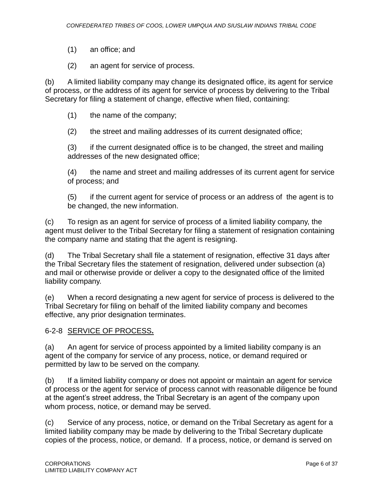- (1) an office; and
- (2) an agent for service of process.

(b) A limited liability company may change its designated office, its agent for service of process, or the address of its agent for service of process by delivering to the Tribal Secretary for filing a statement of change, effective when filed, containing:

(1) the name of the company;

(2) the street and mailing addresses of its current designated office;

(3) if the current designated office is to be changed, the street and mailing addresses of the new designated office;

(4) the name and street and mailing addresses of its current agent for service of process; and

(5) if the current agent for service of process or an address of the agent is to be changed, the new information.

(c) To resign as an agent for service of process of a limited liability company, the agent must deliver to the Tribal Secretary for filing a statement of resignation containing the company name and stating that the agent is resigning.

(d) The Tribal Secretary shall file a statement of resignation, effective 31 days after the Tribal Secretary files the statement of resignation, delivered under subsection (a) and mail or otherwise provide or deliver a copy to the designated office of the limited liability company.

(e) When a record designating a new agent for service of process is delivered to the Tribal Secretary for filing on behalf of the limited liability company and becomes effective, any prior designation terminates.

### 6-2-8 SERVICE OF PROCESS**.**

(a) An agent for service of process appointed by a limited liability company is an agent of the company for service of any process, notice, or demand required or permitted by law to be served on the company.

(b) If a limited liability company or does not appoint or maintain an agent for service of process or the agent for service of process cannot with reasonable diligence be found at the agent's street address, the Tribal Secretary is an agent of the company upon whom process, notice, or demand may be served.

(c) Service of any process, notice, or demand on the Tribal Secretary as agent for a limited liability company may be made by delivering to the Tribal Secretary duplicate copies of the process, notice, or demand. If a process, notice, or demand is served on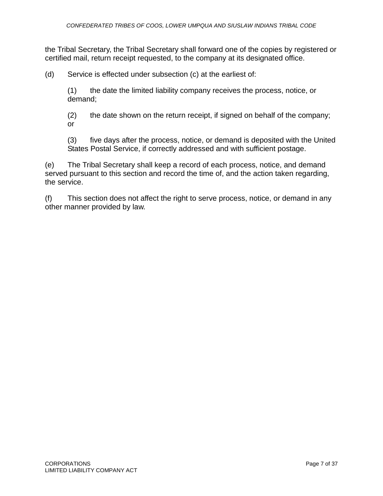the Tribal Secretary, the Tribal Secretary shall forward one of the copies by registered or certified mail, return receipt requested, to the company at its designated office.

(d) Service is effected under subsection (c) at the earliest of:

(1) the date the limited liability company receives the process, notice, or demand;

(2) the date shown on the return receipt, if signed on behalf of the company; or

(3) five days after the process, notice, or demand is deposited with the United States Postal Service, if correctly addressed and with sufficient postage.

(e) The Tribal Secretary shall keep a record of each process, notice, and demand served pursuant to this section and record the time of, and the action taken regarding, the service.

(f) This section does not affect the right to serve process, notice, or demand in any other manner provided by law.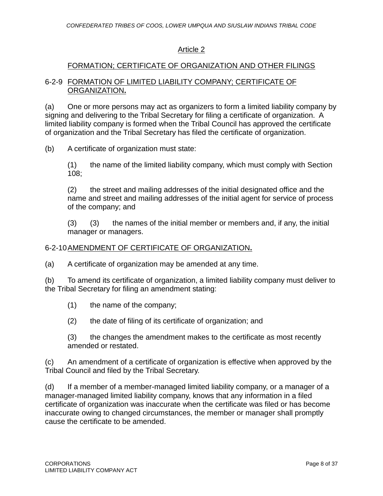## Article 2

### FORMATION; CERTIFICATE OF ORGANIZATION AND OTHER FILINGS

# 6-2-9 FORMATION OF LIMITED LIABILITY COMPANY; CERTIFICATE OF ORGANIZATION**.**

(a) One or more persons may act as organizers to form a limited liability company by signing and delivering to the Tribal Secretary for filing a certificate of organization. A limited liability company is formed when the Tribal Council has approved the certificate of organization and the Tribal Secretary has filed the certificate of organization.

(b) A certificate of organization must state:

(1) the name of the limited liability company, which must comply with Section 108;

(2) the street and mailing addresses of the initial designated office and the name and street and mailing addresses of the initial agent for service of process of the company; and

(3) (3) the names of the initial member or members and, if any, the initial manager or managers.

### 6-2-10AMENDMENT OF CERTIFICATE OF ORGANIZATION**.**

(a) A certificate of organization may be amended at any time.

(b) To amend its certificate of organization, a limited liability company must deliver to the Tribal Secretary for filing an amendment stating:

- (1) the name of the company;
- (2) the date of filing of its certificate of organization; and

(3) the changes the amendment makes to the certificate as most recently amended or restated.

(c) An amendment of a certificate of organization is effective when approved by the Tribal Council and filed by the Tribal Secretary.

(d) If a member of a member-managed limited liability company, or a manager of a manager-managed limited liability company, knows that any information in a filed certificate of organization was inaccurate when the certificate was filed or has become inaccurate owing to changed circumstances, the member or manager shall promptly cause the certificate to be amended.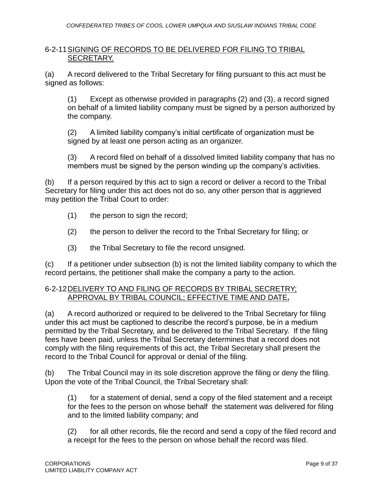# 6-2-11SIGNING OF RECORDS TO BE DELIVERED FOR FILING TO TRIBAL SECRETARY.

(a) A record delivered to the Tribal Secretary for filing pursuant to this act must be signed as follows:

(1) Except as otherwise provided in paragraphs (2) and (3), a record signed on behalf of a limited liability company must be signed by a person authorized by the company.

(2) A limited liability company's initial certificate of organization must be signed by at least one person acting as an organizer.

(3) A record filed on behalf of a dissolved limited liability company that has no members must be signed by the person winding up the company's activities.

(b) If a person required by this act to sign a record or deliver a record to the Tribal Secretary for filing under this act does not do so, any other person that is aggrieved may petition the Tribal Court to order:

- (1) the person to sign the record;
- (2) the person to deliver the record to the Tribal Secretary for filing; or
- (3) the Tribal Secretary to file the record unsigned.

(c) If a petitioner under subsection (b) is not the limited liability company to which the record pertains, the petitioner shall make the company a party to the action.

# 6-2-12DELIVERY TO AND FILING OF RECORDS BY TRIBAL SECRETRY; APPROVAL BY TRIBAL COUNCIL; EFFECTIVE TIME AND DATE**.**

(a) A record authorized or required to be delivered to the Tribal Secretary for filing under this act must be captioned to describe the record's purpose, be in a medium permitted by the Tribal Secretary, and be delivered to the Tribal Secretary. If the filing fees have been paid, unless the Tribal Secretary determines that a record does not comply with the filing requirements of this act, the Tribal Secretary shall present the record to the Tribal Council for approval or denial of the filing.

(b) The Tribal Council may in its sole discretion approve the filing or deny the filing. Upon the vote of the Tribal Council, the Tribal Secretary shall:

(1) for a statement of denial, send a copy of the filed statement and a receipt for the fees to the person on whose behalf the statement was delivered for filing and to the limited liability company; and

(2) for all other records, file the record and send a copy of the filed record and a receipt for the fees to the person on whose behalf the record was filed.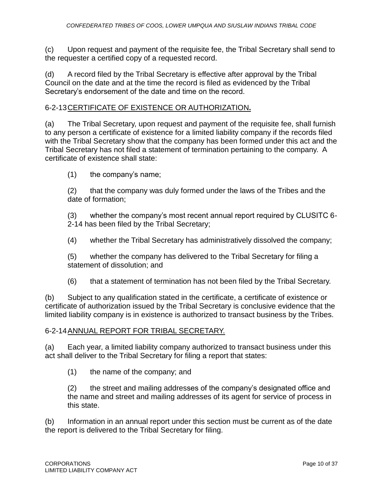(c) Upon request and payment of the requisite fee, the Tribal Secretary shall send to the requester a certified copy of a requested record.

(d) A record filed by the Tribal Secretary is effective after approval by the Tribal Council on the date and at the time the record is filed as evidenced by the Tribal Secretary's endorsement of the date and time on the record.

# 6-2-13CERTIFICATE OF EXISTENCE OR AUTHORIZATION**.**

(a) The Tribal Secretary, upon request and payment of the requisite fee, shall furnish to any person a certificate of existence for a limited liability company if the records filed with the Tribal Secretary show that the company has been formed under this act and the Tribal Secretary has not filed a statement of termination pertaining to the company. A certificate of existence shall state:

(1) the company's name;

(2) that the company was duly formed under the laws of the Tribes and the date of formation;

(3) whether the company's most recent annual report required by CLUSITC 6- 2-14 has been filed by the Tribal Secretary;

(4) whether the Tribal Secretary has administratively dissolved the company;

(5) whether the company has delivered to the Tribal Secretary for filing a statement of dissolution; and

(6) that a statement of termination has not been filed by the Tribal Secretary.

(b) Subject to any qualification stated in the certificate, a certificate of existence or certificate of authorization issued by the Tribal Secretary is conclusive evidence that the limited liability company is in existence is authorized to transact business by the Tribes.

# 6-2-14ANNUAL REPORT FOR TRIBAL SECRETARY.

(a) Each year, a limited liability company authorized to transact business under this act shall deliver to the Tribal Secretary for filing a report that states:

(1) the name of the company; and

(2) the street and mailing addresses of the company's designated office and the name and street and mailing addresses of its agent for service of process in this state.

(b) Information in an annual report under this section must be current as of the date the report is delivered to the Tribal Secretary for filing.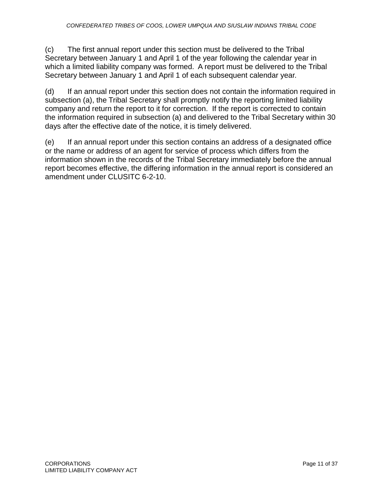(c) The first annual report under this section must be delivered to the Tribal Secretary between January 1 and April 1 of the year following the calendar year in which a limited liability company was formed. A report must be delivered to the Tribal Secretary between January 1 and April 1 of each subsequent calendar year.

(d) If an annual report under this section does not contain the information required in subsection (a), the Tribal Secretary shall promptly notify the reporting limited liability company and return the report to it for correction. If the report is corrected to contain the information required in subsection (a) and delivered to the Tribal Secretary within 30 days after the effective date of the notice, it is timely delivered.

(e) If an annual report under this section contains an address of a designated office or the name or address of an agent for service of process which differs from the information shown in the records of the Tribal Secretary immediately before the annual report becomes effective, the differing information in the annual report is considered an amendment under CLUSITC 6-2-10.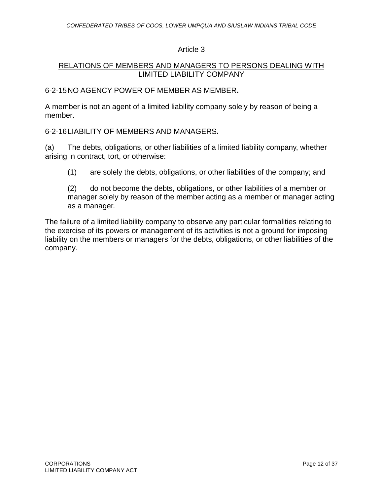### Article 3

# RELATIONS OF MEMBERS AND MANAGERS TO PERSONS DEALING WITH LIMITED LIABILITY COMPANY

### 6-2-15NO AGENCY POWER OF MEMBER AS MEMBER**.**

A member is not an agent of a limited liability company solely by reason of being a member.

#### 6-2-16LIABILITY OF MEMBERS AND MANAGERS**.**

(a) The debts, obligations, or other liabilities of a limited liability company, whether arising in contract, tort, or otherwise:

(1) are solely the debts, obligations, or other liabilities of the company; and

(2) do not become the debts, obligations, or other liabilities of a member or manager solely by reason of the member acting as a member or manager acting as a manager.

The failure of a limited liability company to observe any particular formalities relating to the exercise of its powers or management of its activities is not a ground for imposing liability on the members or managers for the debts, obligations, or other liabilities of the company.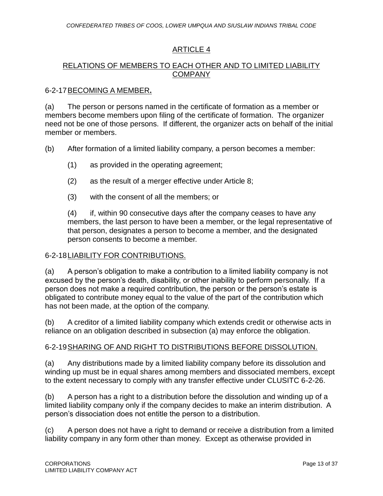# ARTICLE 4

# RELATIONS OF MEMBERS TO EACH OTHER AND TO LIMITED LIABILITY **COMPANY**

### 6-2-17BECOMING A MEMBER**.**

(a) The person or persons named in the certificate of formation as a member or members become members upon filing of the certificate of formation. The organizer need not be one of those persons. If different, the organizer acts on behalf of the initial member or members.

(b) After formation of a limited liability company, a person becomes a member:

- (1) as provided in the operating agreement;
- (2) as the result of a merger effective under Article 8;
- (3) with the consent of all the members; or

(4) if, within 90 consecutive days after the company ceases to have any members, the last person to have been a member, or the legal representative of that person, designates a person to become a member, and the designated person consents to become a member.

# 6-2-18LIABILITY FOR CONTRIBUTIONS.

(a) A person's obligation to make a contribution to a limited liability company is not excused by the person's death, disability, or other inability to perform personally. If a person does not make a required contribution, the person or the person's estate is obligated to contribute money equal to the value of the part of the contribution which has not been made, at the option of the company.

(b) A creditor of a limited liability company which extends credit or otherwise acts in reliance on an obligation described in subsection (a) may enforce the obligation.

### 6-2-19SHARING OF AND RIGHT TO DISTRIBUTIONS BEFORE DISSOLUTION.

(a) Any distributions made by a limited liability company before its dissolution and winding up must be in equal shares among members and dissociated members, except to the extent necessary to comply with any transfer effective under CLUSITC 6-2-26.

(b) A person has a right to a distribution before the dissolution and winding up of a limited liability company only if the company decides to make an interim distribution. A person's dissociation does not entitle the person to a distribution.

(c) A person does not have a right to demand or receive a distribution from a limited liability company in any form other than money. Except as otherwise provided in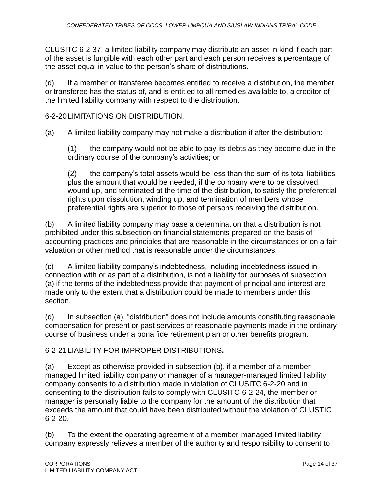CLUSITC 6-2-37, a limited liability company may distribute an asset in kind if each part of the asset is fungible with each other part and each person receives a percentage of the asset equal in value to the person's share of distributions.

(d) If a member or transferee becomes entitled to receive a distribution, the member or transferee has the status of, and is entitled to all remedies available to, a creditor of the limited liability company with respect to the distribution.

## 6-2-20LIMITATIONS ON DISTRIBUTION.

(a) A limited liability company may not make a distribution if after the distribution:

(1) the company would not be able to pay its debts as they become due in the ordinary course of the company's activities; or

(2) the company's total assets would be less than the sum of its total liabilities plus the amount that would be needed, if the company were to be dissolved, wound up, and terminated at the time of the distribution, to satisfy the preferential rights upon dissolution, winding up, and termination of members whose preferential rights are superior to those of persons receiving the distribution.

(b) A limited liability company may base a determination that a distribution is not prohibited under this subsection on financial statements prepared on the basis of accounting practices and principles that are reasonable in the circumstances or on a fair valuation or other method that is reasonable under the circumstances.

(c) A limited liability company's indebtedness, including indebtedness issued in connection with or as part of a distribution, is not a liability for purposes of subsection (a) if the terms of the indebtedness provide that payment of principal and interest are made only to the extent that a distribution could be made to members under this section.

(d) In subsection (a), "distribution" does not include amounts constituting reasonable compensation for present or past services or reasonable payments made in the ordinary course of business under a bona fide retirement plan or other benefits program.

# 6-2-21LIABILITY FOR IMPROPER DISTRIBUTIONS**.**

(a) Except as otherwise provided in subsection (b), if a member of a membermanaged limited liability company or manager of a manager-managed limited liability company consents to a distribution made in violation of CLUSITC 6-2-20 and in consenting to the distribution fails to comply with CLUSITC 6-2-24, the member or manager is personally liable to the company for the amount of the distribution that exceeds the amount that could have been distributed without the violation of CLUSTIC 6-2-20.

(b) To the extent the operating agreement of a member-managed limited liability company expressly relieves a member of the authority and responsibility to consent to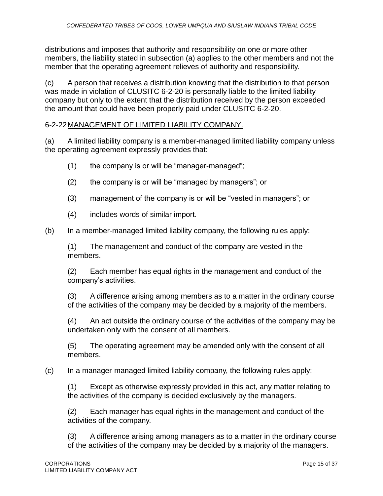distributions and imposes that authority and responsibility on one or more other members, the liability stated in subsection (a) applies to the other members and not the member that the operating agreement relieves of authority and responsibility.

(c) A person that receives a distribution knowing that the distribution to that person was made in violation of CLUSITC 6-2-20 is personally liable to the limited liability company but only to the extent that the distribution received by the person exceeded the amount that could have been properly paid under CLUSITC 6-2-20.

### 6-2-22MANAGEMENT OF LIMITED LIABILITY COMPANY.

(a) A limited liability company is a member-managed limited liability company unless the operating agreement expressly provides that:

- (1) the company is or will be "manager-managed";
- (2) the company is or will be "managed by managers"; or
- (3) management of the company is or will be "vested in managers"; or
- (4) includes words of similar import.
- (b) In a member-managed limited liability company, the following rules apply:

(1) The management and conduct of the company are vested in the members.

(2) Each member has equal rights in the management and conduct of the company's activities.

(3) A difference arising among members as to a matter in the ordinary course of the activities of the company may be decided by a majority of the members.

(4) An act outside the ordinary course of the activities of the company may be undertaken only with the consent of all members.

(5) The operating agreement may be amended only with the consent of all members.

### (c) In a manager-managed limited liability company, the following rules apply:

(1) Except as otherwise expressly provided in this act, any matter relating to the activities of the company is decided exclusively by the managers.

(2) Each manager has equal rights in the management and conduct of the activities of the company.

(3) A difference arising among managers as to a matter in the ordinary course of the activities of the company may be decided by a majority of the managers.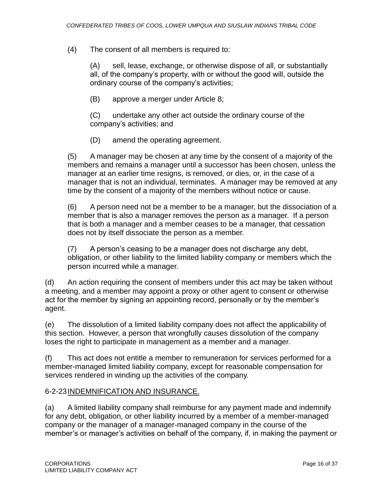(4) The consent of all members is required to:

(A) sell, lease, exchange, or otherwise dispose of all, or substantially all, of the company's property, with or without the good will, outside the ordinary course of the company's activities;

(B) approve a merger under Article 8;

(C) undertake any other act outside the ordinary course of the company's activities; and

(D) amend the operating agreement.

(5) A manager may be chosen at any time by the consent of a majority of the members and remains a manager until a successor has been chosen, unless the manager at an earlier time resigns, is removed, or dies, or, in the case of a manager that is not an individual, terminates. A manager may be removed at any time by the consent of a majority of the members without notice or cause.

(6) A person need not be a member to be a manager, but the dissociation of a member that is also a manager removes the person as a manager. If a person that is both a manager and a member ceases to be a manager, that cessation does not by itself dissociate the person as a member.

(7) A person's ceasing to be a manager does not discharge any debt, obligation, or other liability to the limited liability company or members which the person incurred while a manager.

(d) An action requiring the consent of members under this act may be taken without a meeting, and a member may appoint a proxy or other agent to consent or otherwise act for the member by signing an appointing record, personally or by the member's agent.

(e) The dissolution of a limited liability company does not affect the applicability of this section. However, a person that wrongfully causes dissolution of the company loses the right to participate in management as a member and a manager.

(f) This act does not entitle a member to remuneration for services performed for a member-managed limited liability company, except for reasonable compensation for services rendered in winding up the activities of the company.

# 6-2-23INDEMNIFICATION AND INSURANCE.

(a) A limited liability company shall reimburse for any payment made and indemnify for any debt, obligation, or other liability incurred by a member of a member-managed company or the manager of a manager-managed company in the course of the member's or manager's activities on behalf of the company, if, in making the payment or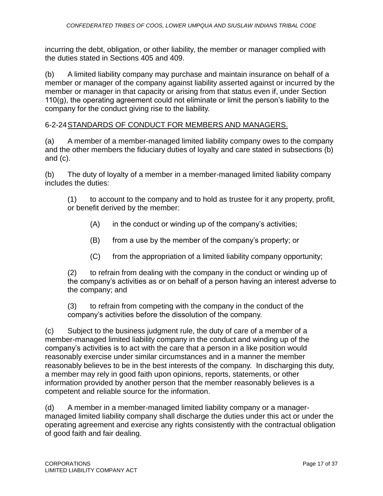incurring the debt, obligation, or other liability, the member or manager complied with the duties stated in Sections 405 and 409.

(b) A limited liability company may purchase and maintain insurance on behalf of a member or manager of the company against liability asserted against or incurred by the member or manager in that capacity or arising from that status even if, under Section 110(g), the operating agreement could not eliminate or limit the person's liability to the company for the conduct giving rise to the liability.

# 6-2-24STANDARDS OF CONDUCT FOR MEMBERS AND MANAGERS.

(a) A member of a member-managed limited liability company owes to the company and the other members the fiduciary duties of loyalty and care stated in subsections (b) and (c).

(b) The duty of loyalty of a member in a member-managed limited liability company includes the duties:

(1) to account to the company and to hold as trustee for it any property, profit, or benefit derived by the member:

- (A) in the conduct or winding up of the company's activities;
- (B) from a use by the member of the company's property; or
- (C) from the appropriation of a limited liability company opportunity;

(2) to refrain from dealing with the company in the conduct or winding up of the company's activities as or on behalf of a person having an interest adverse to the company; and

(3) to refrain from competing with the company in the conduct of the company's activities before the dissolution of the company.

(c) Subject to the business judgment rule, the duty of care of a member of a member-managed limited liability company in the conduct and winding up of the company's activities is to act with the care that a person in a like position would reasonably exercise under similar circumstances and in a manner the member reasonably believes to be in the best interests of the company. In discharging this duty, a member may rely in good faith upon opinions, reports, statements, or other information provided by another person that the member reasonably believes is a competent and reliable source for the information.

(d) A member in a member-managed limited liability company or a managermanaged limited liability company shall discharge the duties under this act or under the operating agreement and exercise any rights consistently with the contractual obligation of good faith and fair dealing.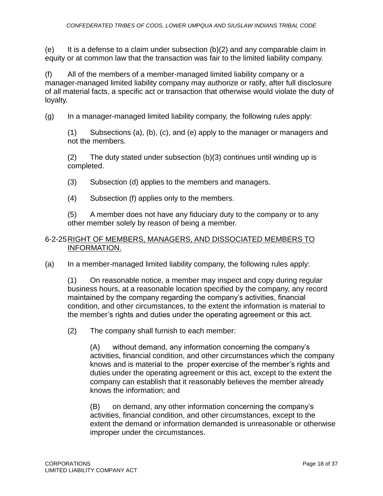(e) It is a defense to a claim under subsection  $(b)(2)$  and any comparable claim in equity or at common law that the transaction was fair to the limited liability company.

(f) All of the members of a member-managed limited liability company or a manager-managed limited liability company may authorize or ratify, after full disclosure of all material facts, a specific act or transaction that otherwise would violate the duty of loyalty.

(g) In a manager-managed limited liability company, the following rules apply:

(1) Subsections (a), (b), (c), and (e) apply to the manager or managers and not the members.

(2) The duty stated under subsection (b)(3) continues until winding up is completed.

(3) Subsection (d) applies to the members and managers.

(4) Subsection (f) applies only to the members.

(5) A member does not have any fiduciary duty to the company or to any other member solely by reason of being a member.

# 6-2-25RIGHT OF MEMBERS, MANAGERS, AND DISSOCIATED MEMBERS TO INFORMATION.

(a) In a member-managed limited liability company, the following rules apply:

(1) On reasonable notice, a member may inspect and copy during regular business hours, at a reasonable location specified by the company, any record maintained by the company regarding the company's activities, financial condition, and other circumstances, to the extent the information is material to the member's rights and duties under the operating agreement or this act.

(2) The company shall furnish to each member:

(A) without demand, any information concerning the company's activities, financial condition, and other circumstances which the company knows and is material to the proper exercise of the member's rights and duties under the operating agreement or this act, except to the extent the company can establish that it reasonably believes the member already knows the information; and

(B) on demand, any other information concerning the company's activities, financial condition, and other circumstances, except to the extent the demand or information demanded is unreasonable or otherwise improper under the circumstances.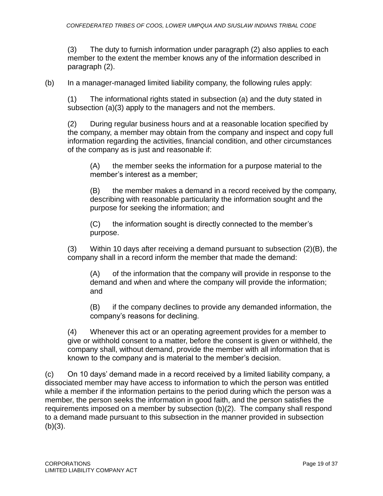(3) The duty to furnish information under paragraph (2) also applies to each member to the extent the member knows any of the information described in paragraph (2).

(b) In a manager-managed limited liability company, the following rules apply:

(1) The informational rights stated in subsection (a) and the duty stated in subsection (a)(3) apply to the managers and not the members.

(2) During regular business hours and at a reasonable location specified by the company, a member may obtain from the company and inspect and copy full information regarding the activities, financial condition, and other circumstances of the company as is just and reasonable if:

(A) the member seeks the information for a purpose material to the member's interest as a member;

(B) the member makes a demand in a record received by the company, describing with reasonable particularity the information sought and the purpose for seeking the information; and

(C) the information sought is directly connected to the member's purpose.

(3) Within 10 days after receiving a demand pursuant to subsection (2)(B), the company shall in a record inform the member that made the demand:

(A) of the information that the company will provide in response to the demand and when and where the company will provide the information; and

(B) if the company declines to provide any demanded information, the company's reasons for declining.

(4) Whenever this act or an operating agreement provides for a member to give or withhold consent to a matter, before the consent is given or withheld, the company shall, without demand, provide the member with all information that is known to the company and is material to the member's decision.

(c) On 10 days' demand made in a record received by a limited liability company, a dissociated member may have access to information to which the person was entitled while a member if the information pertains to the period during which the person was a member, the person seeks the information in good faith, and the person satisfies the requirements imposed on a member by subsection (b)(2). The company shall respond to a demand made pursuant to this subsection in the manner provided in subsection  $(b)(3)$ .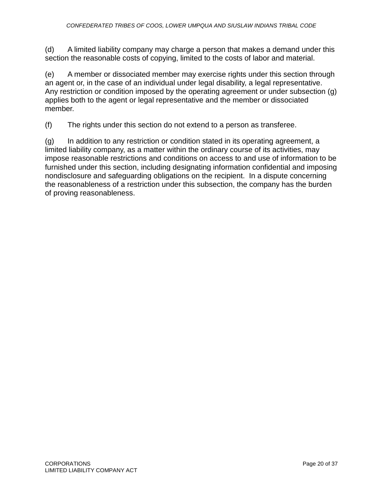(d) A limited liability company may charge a person that makes a demand under this section the reasonable costs of copying, limited to the costs of labor and material.

(e) A member or dissociated member may exercise rights under this section through an agent or, in the case of an individual under legal disability, a legal representative. Any restriction or condition imposed by the operating agreement or under subsection (g) applies both to the agent or legal representative and the member or dissociated member.

(f) The rights under this section do not extend to a person as transferee.

(g) In addition to any restriction or condition stated in its operating agreement, a limited liability company, as a matter within the ordinary course of its activities, may impose reasonable restrictions and conditions on access to and use of information to be furnished under this section, including designating information confidential and imposing nondisclosure and safeguarding obligations on the recipient. In a dispute concerning the reasonableness of a restriction under this subsection, the company has the burden of proving reasonableness.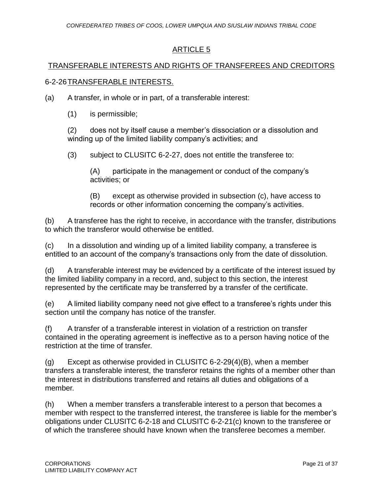# ARTICLE 5

# TRANSFERABLE INTERESTS AND RIGHTS OF TRANSFEREES AND CREDITORS

# 6-2-26TRANSFERABLE INTERESTS.

(a) A transfer, in whole or in part, of a transferable interest:

(1) is permissible;

(2) does not by itself cause a member's dissociation or a dissolution and winding up of the limited liability company's activities; and

(3) subject to CLUSITC 6-2-27, does not entitle the transferee to:

(A) participate in the management or conduct of the company's activities; or

(B) except as otherwise provided in subsection (c), have access to records or other information concerning the company's activities.

(b) A transferee has the right to receive, in accordance with the transfer, distributions to which the transferor would otherwise be entitled.

(c) In a dissolution and winding up of a limited liability company, a transferee is entitled to an account of the company's transactions only from the date of dissolution.

(d) A transferable interest may be evidenced by a certificate of the interest issued by the limited liability company in a record, and, subject to this section, the interest represented by the certificate may be transferred by a transfer of the certificate.

(e) A limited liability company need not give effect to a transferee's rights under this section until the company has notice of the transfer.

(f) A transfer of a transferable interest in violation of a restriction on transfer contained in the operating agreement is ineffective as to a person having notice of the restriction at the time of transfer.

(g) Except as otherwise provided in CLUSITC 6-2-29(4)(B), when a member transfers a transferable interest, the transferor retains the rights of a member other than the interest in distributions transferred and retains all duties and obligations of a member.

(h) When a member transfers a transferable interest to a person that becomes a member with respect to the transferred interest, the transferee is liable for the member's obligations under CLUSITC 6-2-18 and CLUSITC 6-2-21(c) known to the transferee or of which the transferee should have known when the transferee becomes a member.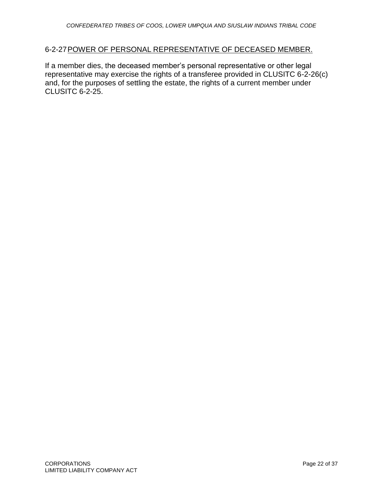# 6-2-27POWER OF PERSONAL REPRESENTATIVE OF DECEASED MEMBER.

If a member dies, the deceased member's personal representative or other legal representative may exercise the rights of a transferee provided in CLUSITC 6-2-26(c) and, for the purposes of settling the estate, the rights of a current member under CLUSITC 6-2-25.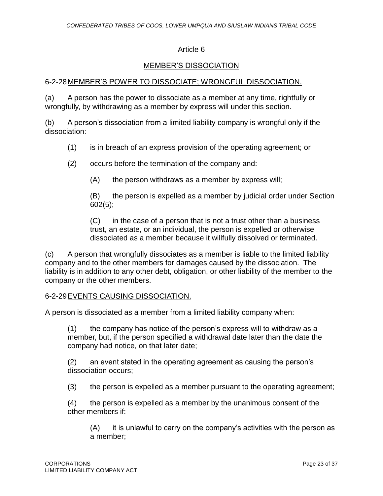# Article 6

# MEMBER'S DISSOCIATION

## 6-2-28MEMBER'S POWER TO DISSOCIATE; WRONGFUL DISSOCIATION.

(a) A person has the power to dissociate as a member at any time, rightfully or wrongfully, by withdrawing as a member by express will under this section.

(b) A person's dissociation from a limited liability company is wrongful only if the dissociation:

- (1) is in breach of an express provision of the operating agreement; or
- (2) occurs before the termination of the company and:
	- (A) the person withdraws as a member by express will;

(B) the person is expelled as a member by judicial order under Section 602(5);

(C) in the case of a person that is not a trust other than a business trust, an estate, or an individual, the person is expelled or otherwise dissociated as a member because it willfully dissolved or terminated.

(c) A person that wrongfully dissociates as a member is liable to the limited liability company and to the other members for damages caused by the dissociation. The liability is in addition to any other debt, obligation, or other liability of the member to the company or the other members.

### 6-2-29EVENTS CAUSING DISSOCIATION.

A person is dissociated as a member from a limited liability company when:

(1) the company has notice of the person's express will to withdraw as a member, but, if the person specified a withdrawal date later than the date the company had notice, on that later date;

(2) an event stated in the operating agreement as causing the person's dissociation occurs;

(3) the person is expelled as a member pursuant to the operating agreement;

(4) the person is expelled as a member by the unanimous consent of the other members if:

(A) it is unlawful to carry on the company's activities with the person as a member;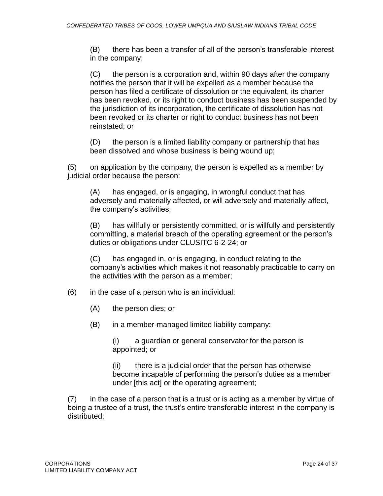(B) there has been a transfer of all of the person's transferable interest in the company;

(C) the person is a corporation and, within 90 days after the company notifies the person that it will be expelled as a member because the person has filed a certificate of dissolution or the equivalent, its charter has been revoked, or its right to conduct business has been suspended by the jurisdiction of its incorporation, the certificate of dissolution has not been revoked or its charter or right to conduct business has not been reinstated; or

(D) the person is a limited liability company or partnership that has been dissolved and whose business is being wound up;

(5) on application by the company, the person is expelled as a member by judicial order because the person:

(A) has engaged, or is engaging, in wrongful conduct that has adversely and materially affected, or will adversely and materially affect, the company's activities;

(B) has willfully or persistently committed, or is willfully and persistently committing, a material breach of the operating agreement or the person's duties or obligations under CLUSITC 6-2-24; or

(C) has engaged in, or is engaging, in conduct relating to the company's activities which makes it not reasonably practicable to carry on the activities with the person as a member;

(6) in the case of a person who is an individual:

- (A) the person dies; or
- (B) in a member-managed limited liability company:

(i) a guardian or general conservator for the person is appointed; or

(ii) there is a judicial order that the person has otherwise become incapable of performing the person's duties as a member under [this act] or the operating agreement;

(7) in the case of a person that is a trust or is acting as a member by virtue of being a trustee of a trust, the trust's entire transferable interest in the company is distributed;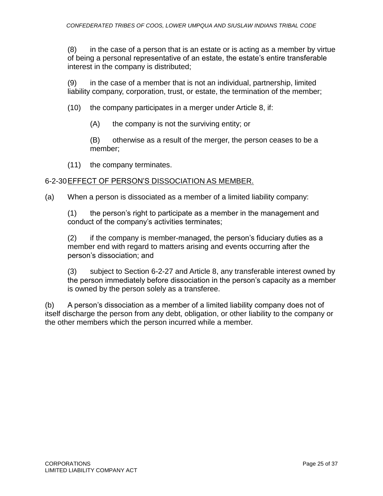(8) in the case of a person that is an estate or is acting as a member by virtue of being a personal representative of an estate, the estate's entire transferable interest in the company is distributed;

(9) in the case of a member that is not an individual, partnership, limited liability company, corporation, trust, or estate, the termination of the member;

(10) the company participates in a merger under Article 8, if:

(A) the company is not the surviving entity; or

(B) otherwise as a result of the merger, the person ceases to be a member;

(11) the company terminates.

### 6-2-30EFFECT OF PERSON'S DISSOCIATION AS MEMBER.

(a) When a person is dissociated as a member of a limited liability company:

(1) the person's right to participate as a member in the management and conduct of the company's activities terminates;

(2) if the company is member-managed, the person's fiduciary duties as a member end with regard to matters arising and events occurring after the person's dissociation; and

(3) subject to Section 6-2-27 and Article 8, any transferable interest owned by the person immediately before dissociation in the person's capacity as a member is owned by the person solely as a transferee.

(b) A person's dissociation as a member of a limited liability company does not of itself discharge the person from any debt, obligation, or other liability to the company or the other members which the person incurred while a member.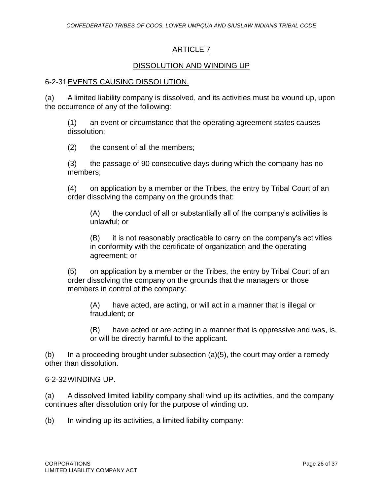# ARTICLE 7

## DISSOLUTION AND WINDING UP

### 6-2-31EVENTS CAUSING DISSOLUTION.

(a) A limited liability company is dissolved, and its activities must be wound up, upon the occurrence of any of the following:

(1) an event or circumstance that the operating agreement states causes dissolution;

(2) the consent of all the members;

(3) the passage of 90 consecutive days during which the company has no members;

(4) on application by a member or the Tribes, the entry by Tribal Court of an order dissolving the company on the grounds that:

(A) the conduct of all or substantially all of the company's activities is unlawful; or

(B) it is not reasonably practicable to carry on the company's activities in conformity with the certificate of organization and the operating agreement; or

(5) on application by a member or the Tribes, the entry by Tribal Court of an order dissolving the company on the grounds that the managers or those members in control of the company:

(A) have acted, are acting, or will act in a manner that is illegal or fraudulent; or

(B) have acted or are acting in a manner that is oppressive and was, is, or will be directly harmful to the applicant.

 $(b)$  In a proceeding brought under subsection  $(a)(5)$ , the court may order a remedy other than dissolution.

### 6-2-32WINDING UP.

(a) A dissolved limited liability company shall wind up its activities, and the company continues after dissolution only for the purpose of winding up.

(b) In winding up its activities, a limited liability company: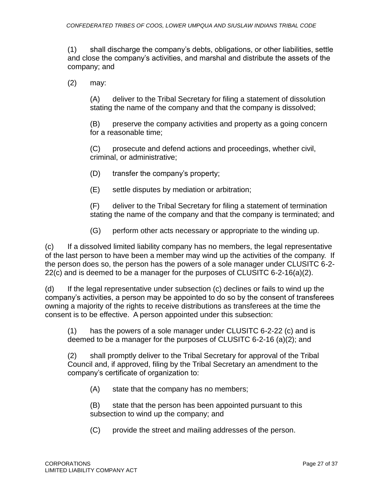(1) shall discharge the company's debts, obligations, or other liabilities, settle and close the company's activities, and marshal and distribute the assets of the company; and

(2) may:

(A) deliver to the Tribal Secretary for filing a statement of dissolution stating the name of the company and that the company is dissolved;

(B) preserve the company activities and property as a going concern for a reasonable time;

(C) prosecute and defend actions and proceedings, whether civil, criminal, or administrative;

(D) transfer the company's property;

(E) settle disputes by mediation or arbitration;

(F) deliver to the Tribal Secretary for filing a statement of termination stating the name of the company and that the company is terminated; and

(G) perform other acts necessary or appropriate to the winding up.

(c) If a dissolved limited liability company has no members, the legal representative of the last person to have been a member may wind up the activities of the company. If the person does so, the person has the powers of a sole manager under CLUSITC 6-2- 22(c) and is deemed to be a manager for the purposes of CLUSITC 6-2-16(a)(2).

(d) If the legal representative under subsection (c) declines or fails to wind up the company's activities, a person may be appointed to do so by the consent of transferees owning a majority of the rights to receive distributions as transferees at the time the consent is to be effective. A person appointed under this subsection:

(1) has the powers of a sole manager under CLUSITC 6-2-22 (c) and is deemed to be a manager for the purposes of CLUSITC 6-2-16 (a)(2); and

(2) shall promptly deliver to the Tribal Secretary for approval of the Tribal Council and, if approved, filing by the Tribal Secretary an amendment to the company's certificate of organization to:

(A) state that the company has no members;

(B) state that the person has been appointed pursuant to this subsection to wind up the company; and

(C) provide the street and mailing addresses of the person.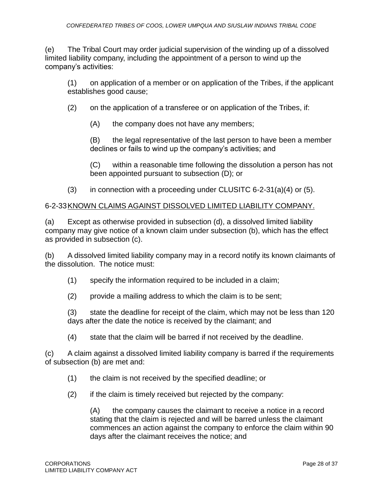(e) The Tribal Court may order judicial supervision of the winding up of a dissolved limited liability company, including the appointment of a person to wind up the company's activities:

(1) on application of a member or on application of the Tribes, if the applicant establishes good cause;

(2) on the application of a transferee or on application of the Tribes, if:

(A) the company does not have any members;

(B) the legal representative of the last person to have been a member declines or fails to wind up the company's activities; and

(C) within a reasonable time following the dissolution a person has not been appointed pursuant to subsection (D); or

 $(3)$  in connection with a proceeding under CLUSITC 6-2-31(a)(4) or (5).

### 6-2-33KNOWN CLAIMS AGAINST DISSOLVED LIMITED LIABILITY COMPANY.

(a) Except as otherwise provided in subsection (d), a dissolved limited liability company may give notice of a known claim under subsection (b), which has the effect as provided in subsection (c).

(b) A dissolved limited liability company may in a record notify its known claimants of the dissolution. The notice must:

- (1) specify the information required to be included in a claim;
- (2) provide a mailing address to which the claim is to be sent;

(3) state the deadline for receipt of the claim, which may not be less than 120 days after the date the notice is received by the claimant; and

(4) state that the claim will be barred if not received by the deadline.

(c) A claim against a dissolved limited liability company is barred if the requirements of subsection (b) are met and:

- (1) the claim is not received by the specified deadline; or
- (2) if the claim is timely received but rejected by the company:

(A) the company causes the claimant to receive a notice in a record stating that the claim is rejected and will be barred unless the claimant commences an action against the company to enforce the claim within 90 days after the claimant receives the notice; and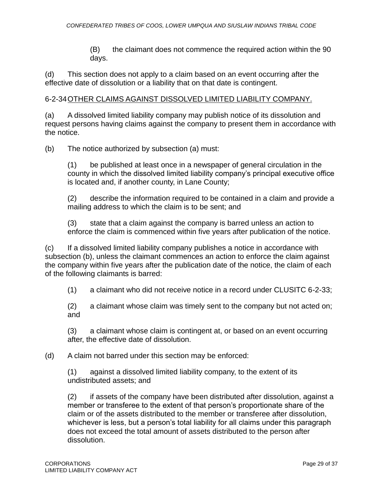(B) the claimant does not commence the required action within the 90 days.

(d) This section does not apply to a claim based on an event occurring after the effective date of dissolution or a liability that on that date is contingent.

### 6-2-34OTHER CLAIMS AGAINST DISSOLVED LIMITED LIABILITY COMPANY.

(a) A dissolved limited liability company may publish notice of its dissolution and request persons having claims against the company to present them in accordance with the notice.

(b) The notice authorized by subsection (a) must:

(1) be published at least once in a newspaper of general circulation in the county in which the dissolved limited liability company's principal executive office is located and, if another county, in Lane County;

(2) describe the information required to be contained in a claim and provide a mailing address to which the claim is to be sent; and

(3) state that a claim against the company is barred unless an action to enforce the claim is commenced within five years after publication of the notice.

(c) If a dissolved limited liability company publishes a notice in accordance with subsection (b), unless the claimant commences an action to enforce the claim against the company within five years after the publication date of the notice, the claim of each of the following claimants is barred:

(1) a claimant who did not receive notice in a record under CLUSITC 6-2-33;

(2) a claimant whose claim was timely sent to the company but not acted on; and

(3) a claimant whose claim is contingent at, or based on an event occurring after, the effective date of dissolution.

(d) A claim not barred under this section may be enforced:

(1) against a dissolved limited liability company, to the extent of its undistributed assets; and

(2) if assets of the company have been distributed after dissolution, against a member or transferee to the extent of that person's proportionate share of the claim or of the assets distributed to the member or transferee after dissolution, whichever is less, but a person's total liability for all claims under this paragraph does not exceed the total amount of assets distributed to the person after dissolution.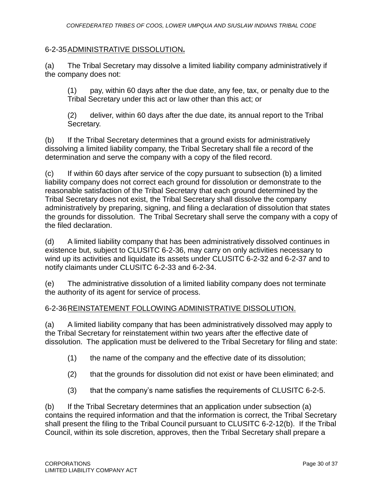### 6-2-35ADMINISTRATIVE DISSOLUTION**.**

(a) The Tribal Secretary may dissolve a limited liability company administratively if the company does not:

(1) pay, within 60 days after the due date, any fee, tax, or penalty due to the Tribal Secretary under this act or law other than this act; or

(2) deliver, within 60 days after the due date, its annual report to the Tribal Secretary.

(b) If the Tribal Secretary determines that a ground exists for administratively dissolving a limited liability company, the Tribal Secretary shall file a record of the determination and serve the company with a copy of the filed record.

(c) If within 60 days after service of the copy pursuant to subsection (b) a limited liability company does not correct each ground for dissolution or demonstrate to the reasonable satisfaction of the Tribal Secretary that each ground determined by the Tribal Secretary does not exist, the Tribal Secretary shall dissolve the company administratively by preparing, signing, and filing a declaration of dissolution that states the grounds for dissolution. The Tribal Secretary shall serve the company with a copy of the filed declaration.

(d) A limited liability company that has been administratively dissolved continues in existence but, subject to CLUSITC 6-2-36, may carry on only activities necessary to wind up its activities and liquidate its assets under CLUSITC 6-2-32 and 6-2-37 and to notify claimants under CLUSITC 6-2-33 and 6-2-34.

(e) The administrative dissolution of a limited liability company does not terminate the authority of its agent for service of process.

### 6-2-36REINSTATEMENT FOLLOWING ADMINISTRATIVE DISSOLUTION.

(a) A limited liability company that has been administratively dissolved may apply to the Tribal Secretary for reinstatement within two years after the effective date of dissolution. The application must be delivered to the Tribal Secretary for filing and state:

- (1) the name of the company and the effective date of its dissolution;
- (2) that the grounds for dissolution did not exist or have been eliminated; and
- (3) that the company's name satisfies the requirements of CLUSITC 6-2-5.

(b) If the Tribal Secretary determines that an application under subsection (a) contains the required information and that the information is correct, the Tribal Secretary shall present the filing to the Tribal Council pursuant to CLUSITC 6-2-12(b). If the Tribal Council, within its sole discretion, approves, then the Tribal Secretary shall prepare a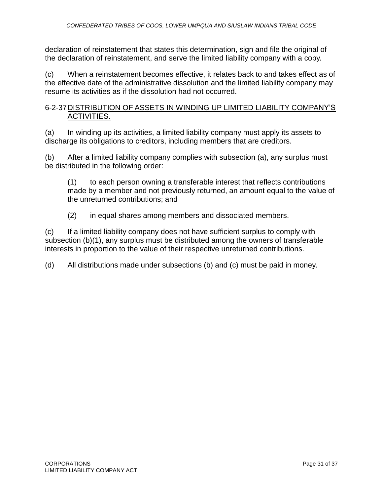declaration of reinstatement that states this determination, sign and file the original of the declaration of reinstatement, and serve the limited liability company with a copy.

(c) When a reinstatement becomes effective, it relates back to and takes effect as of the effective date of the administrative dissolution and the limited liability company may resume its activities as if the dissolution had not occurred.

# 6-2-37DISTRIBUTION OF ASSETS IN WINDING UP LIMITED LIABILITY COMPANY'S ACTIVITIES.

(a) In winding up its activities, a limited liability company must apply its assets to discharge its obligations to creditors, including members that are creditors.

(b) After a limited liability company complies with subsection (a), any surplus must be distributed in the following order:

(1) to each person owning a transferable interest that reflects contributions made by a member and not previously returned, an amount equal to the value of the unreturned contributions; and

(2) in equal shares among members and dissociated members.

(c) If a limited liability company does not have sufficient surplus to comply with subsection (b)(1), any surplus must be distributed among the owners of transferable interests in proportion to the value of their respective unreturned contributions.

(d) All distributions made under subsections (b) and (c) must be paid in money.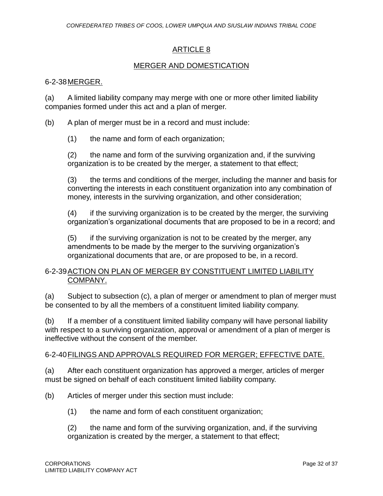# ARTICLE 8

## MERGER AND DOMESTICATION

### 6-2-38MERGER.

(a) A limited liability company may merge with one or more other limited liability companies formed under this act and a plan of merger.

(b) A plan of merger must be in a record and must include:

(1) the name and form of each organization;

(2) the name and form of the surviving organization and, if the surviving organization is to be created by the merger, a statement to that effect;

(3) the terms and conditions of the merger, including the manner and basis for converting the interests in each constituent organization into any combination of money, interests in the surviving organization, and other consideration;

(4) if the surviving organization is to be created by the merger, the surviving organization's organizational documents that are proposed to be in a record; and

(5) if the surviving organization is not to be created by the merger, any amendments to be made by the merger to the surviving organization's organizational documents that are, or are proposed to be, in a record.

### 6-2-39ACTION ON PLAN OF MERGER BY CONSTITUENT LIMITED LIABILITY COMPANY.

(a) Subject to subsection (c), a plan of merger or amendment to plan of merger must be consented to by all the members of a constituent limited liability company.

(b) If a member of a constituent limited liability company will have personal liability with respect to a surviving organization, approval or amendment of a plan of merger is ineffective without the consent of the member.

# 6-2-40FILINGS AND APPROVALS REQUIRED FOR MERGER; EFFECTIVE DATE.

(a) After each constituent organization has approved a merger, articles of merger must be signed on behalf of each constituent limited liability company.

- (b) Articles of merger under this section must include:
	- (1) the name and form of each constituent organization;

(2) the name and form of the surviving organization, and, if the surviving organization is created by the merger, a statement to that effect;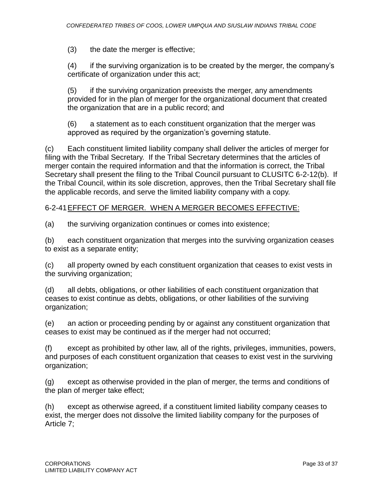(3) the date the merger is effective;

(4) if the surviving organization is to be created by the merger, the company's certificate of organization under this act;

(5) if the surviving organization preexists the merger, any amendments provided for in the plan of merger for the organizational document that created the organization that are in a public record; and

(6) a statement as to each constituent organization that the merger was approved as required by the organization's governing statute.

(c) Each constituent limited liability company shall deliver the articles of merger for filing with the Tribal Secretary. If the Tribal Secretary determines that the articles of merger contain the required information and that the information is correct, the Tribal Secretary shall present the filing to the Tribal Council pursuant to CLUSITC 6-2-12(b). If the Tribal Council, within its sole discretion, approves, then the Tribal Secretary shall file the applicable records, and serve the limited liability company with a copy.

# 6-2-41EFFECT OF MERGER. WHEN A MERGER BECOMES EFFECTIVE:

(a) the surviving organization continues or comes into existence;

(b) each constituent organization that merges into the surviving organization ceases to exist as a separate entity;

(c) all property owned by each constituent organization that ceases to exist vests in the surviving organization;

(d) all debts, obligations, or other liabilities of each constituent organization that ceases to exist continue as debts, obligations, or other liabilities of the surviving organization;

(e) an action or proceeding pending by or against any constituent organization that ceases to exist may be continued as if the merger had not occurred;

(f) except as prohibited by other law, all of the rights, privileges, immunities, powers, and purposes of each constituent organization that ceases to exist vest in the surviving organization;

(g) except as otherwise provided in the plan of merger, the terms and conditions of the plan of merger take effect;

(h) except as otherwise agreed, if a constituent limited liability company ceases to exist, the merger does not dissolve the limited liability company for the purposes of Article 7;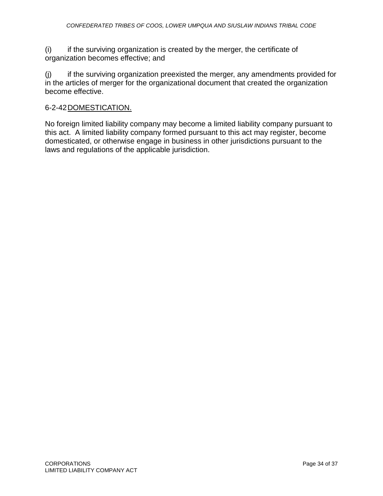(i) if the surviving organization is created by the merger, the certificate of organization becomes effective; and

(j) if the surviving organization preexisted the merger, any amendments provided for in the articles of merger for the organizational document that created the organization become effective.

## 6-2-42DOMESTICATION.

No foreign limited liability company may become a limited liability company pursuant to this act. A limited liability company formed pursuant to this act may register, become domesticated, or otherwise engage in business in other jurisdictions pursuant to the laws and regulations of the applicable jurisdiction.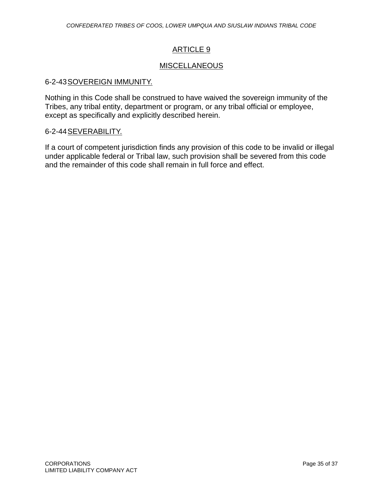# ARTICLE 9

### **MISCELLANEOUS**

### 6-2-43SOVEREIGN IMMUNITY.

Nothing in this Code shall be construed to have waived the sovereign immunity of the Tribes, any tribal entity, department or program, or any tribal official or employee, except as specifically and explicitly described herein.

#### 6-2-44SEVERABILITY.

If a court of competent jurisdiction finds any provision of this code to be invalid or illegal under applicable federal or Tribal law, such provision shall be severed from this code and the remainder of this code shall remain in full force and effect.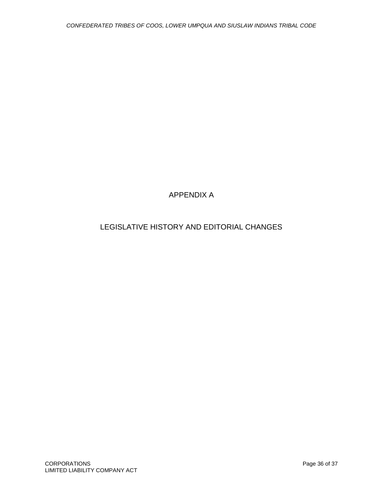APPENDIX A

# LEGISLATIVE HISTORY AND EDITORIAL CHANGES